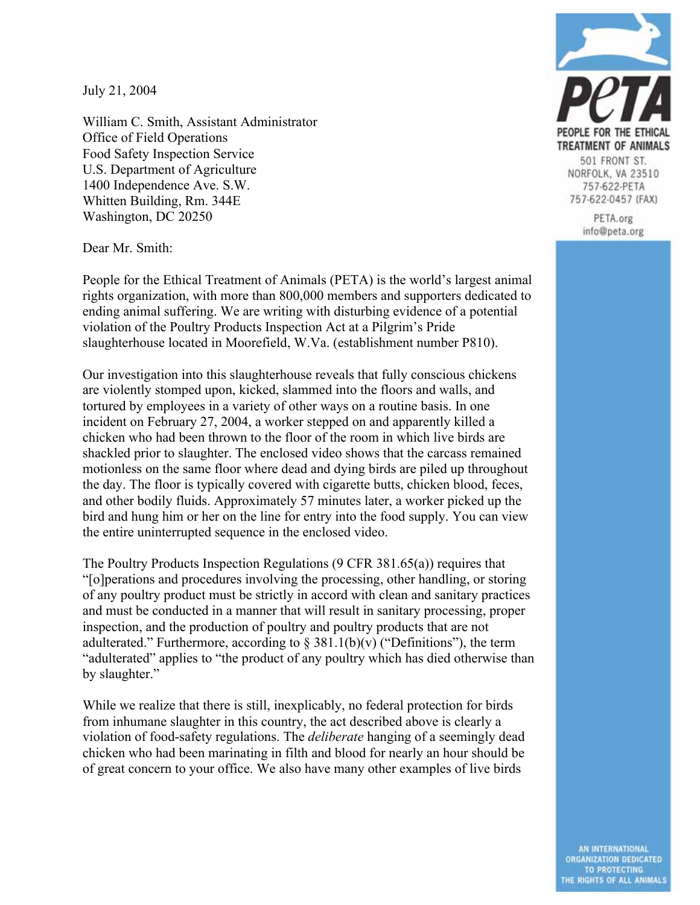July 21, 2004

William C. Smith, Assistant Administrator Office of Field Operations Food Safety Inspection Service U.S. Department of Agriculture 1400 Independence Ave. S.W. Whitten Building, Rm. 344E Washington, DC 20250



NORFOLK, VA 23510 757-622-PETA 757-622-0457 (FAX)

> PETA.org info@peta.org

Dear Mr. Smith:

People for the Ethical Treatment of Animals (PETA) is the world's largest animal rights organization, with more than 800,000 members and supporters dedicated to ending animal suffering. We are writing with disturbing evidence of a potential violation of the Poultry Products Inspection Act at a Pilgrim's Pride slaughterhouse located in Moorefield, W.Va. (establishment number P810).

Our investigation into this slaughterhouse reveals that fully conscious chickens are violently stomped upon, kicked, slammed into the floors and walls, and tortured by employees in a variety of other ways on a routine basis. In one incident on February 27, 2004, a worker stepped on and apparently killed a chicken who had been thrown to the floor of the room in which live birds are shackled prior to slaughter. The enclosed video shows that the carcass remained motionless on the same floor where dead and dying birds are piled up throughout the day. The floor is typically covered with cigarette butts, chicken blood, feces, and other bodily fluids. Approximately 57 minutes later, a worker picked up the bird and hung him or her on the line for entry into the food supply. You can view the entire uninterrupted sequence in the enclosed video.

The Poultry Products Inspection Regulations (9 CFR 381.65(a)) requires that "[o]perations and procedures involving the processing, other handling, or storing of any poultry product must be strictly in accord with clean and sanitary practices and must be conducted in a manner that will result in sanitary processing, proper inspection, and the production of poultry and poultry products that are not adulterated." Furthermore, according to  $\S$  381.1(b)(v) ("Definitions"), the term "adulterated" applies to "the product of any poultry which has died otherwise than by slaughter."

While we realize that there is still, inexplicably, no federal protection for birds from inhumane slaughter in this country, the act described above is clearly a violation of food-safety regulations. The *deliberate* hanging of a seemingly dead chicken who had been marinating in filth and blood for nearly an hour should be of great concern to your office. We also have many other examples of live birds

> AN INTERNATIONAL ORGANIZATION DEDICATED TO PROTECTING<br>THE RIGHTS OF ALL ANIMALS